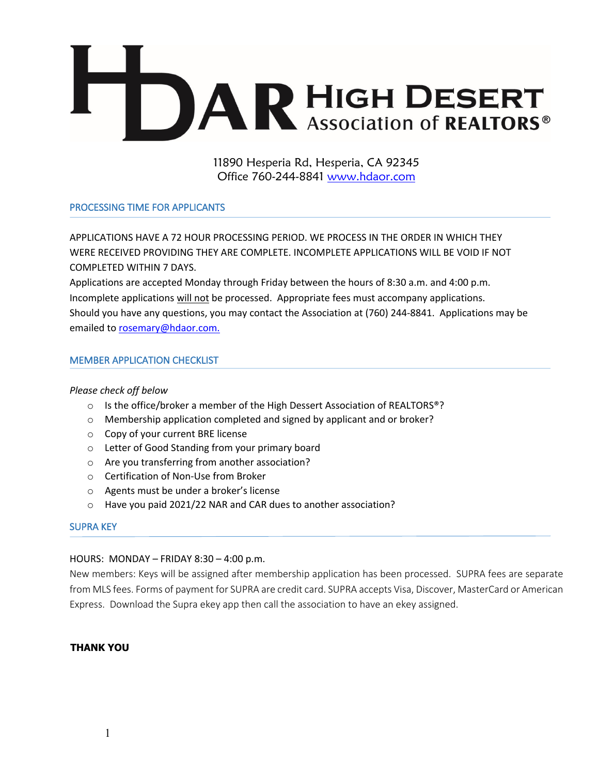

11890 Hesperia Rd, Hesperia, CA 92345 Office 760-244-8841 www.hdaor.com

### PROCESSING TIME FOR APPLICANTS

APPLICATIONS HAVE A 72 HOUR PROCESSING PERIOD. WE PROCESS IN THE ORDER IN WHICH THEY WERE RECEIVED PROVIDING THEY ARE COMPLETE. INCOMPLETE APPLICATIONS WILL BE VOID IF NOT COMPLETED WITHIN 7 DAYS.

Applications are accepted Monday through Friday between the hours of 8:30 a.m. and 4:00 p.m. Incomplete applications will not be processed. Appropriate fees must accompany applications. Should you have any questions, you may contact the Association at (760) 244-8841. Applications may be emailed to rosemary@hdaor.com.

### MEMBER APPLICATION CHECKLIST

### *Please check off below*

- $\circ$  Is the office/broker a member of the High Dessert Association of REALTORS<sup>®</sup>?
- o Membership application completed and signed by applicant and or broker?
- o Copy of your current BRE license
- o Letter of Good Standing from your primary board
- o Are you transferring from another association?
- o Certification of Non-Use from Broker
- o Agents must be under a broker's license
- o Have you paid 2021/22 NAR and CAR dues to another association?

### SUPRA KEY

### HOURS: MONDAY – FRIDAY 8:30 – 4:00 p.m.

New members: Keys will be assigned after membership application has been processed. SUPRA fees are separate from MLS fees. Forms of payment for SUPRA are credit card. SUPRA accepts Visa, Discover, MasterCard or American Express. Download the Supra ekey app then call the association to have an ekey assigned.

### **THANK YOU**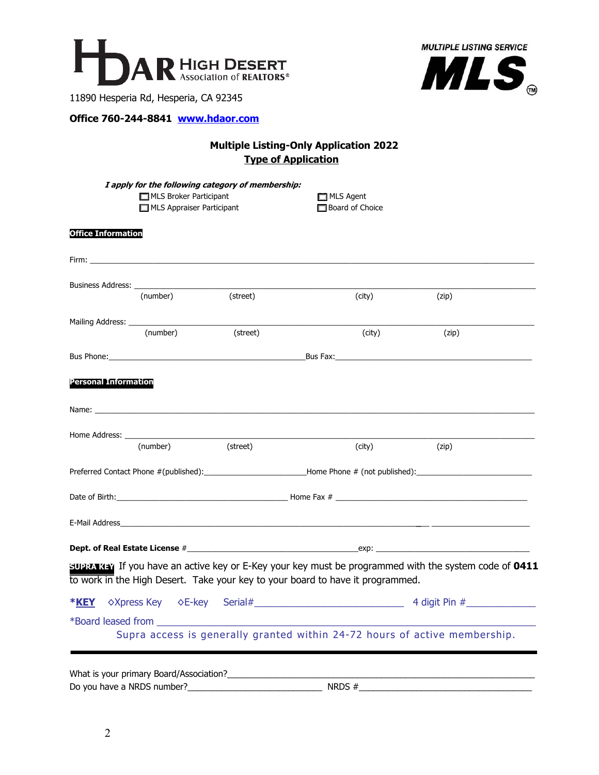



11890 Hesperia Rd, Hesperia, CA 92345

### **Office 760-244-8841 www.hdaor.com**

# **Multiple Listing-Only Application 2022 Type of Application**

|                             | I apply for the following category of membership:<br>MLS Broker Participant<br>MLS Appraiser Participant                                                                                                                       |                                                                                                                                                                                                                                | $\Box$ MLS Agent<br><b>Board of Choice</b>                                                                                                                                                                                    |                                                                                                       |
|-----------------------------|--------------------------------------------------------------------------------------------------------------------------------------------------------------------------------------------------------------------------------|--------------------------------------------------------------------------------------------------------------------------------------------------------------------------------------------------------------------------------|-------------------------------------------------------------------------------------------------------------------------------------------------------------------------------------------------------------------------------|-------------------------------------------------------------------------------------------------------|
| <b>Office Information</b>   |                                                                                                                                                                                                                                |                                                                                                                                                                                                                                |                                                                                                                                                                                                                               |                                                                                                       |
|                             |                                                                                                                                                                                                                                |                                                                                                                                                                                                                                |                                                                                                                                                                                                                               |                                                                                                       |
|                             | (number)                                                                                                                                                                                                                       | (street)                                                                                                                                                                                                                       | (city)                                                                                                                                                                                                                        | (zip)                                                                                                 |
|                             |                                                                                                                                                                                                                                |                                                                                                                                                                                                                                |                                                                                                                                                                                                                               |                                                                                                       |
|                             | (number)                                                                                                                                                                                                                       | (street)                                                                                                                                                                                                                       | (city)                                                                                                                                                                                                                        | (zip)                                                                                                 |
|                             |                                                                                                                                                                                                                                |                                                                                                                                                                                                                                | Bus Phone: Bus Fax: Bus Fax: Bus Fax: Bus Fax: Bus Fax: Bus Fax: Bus Fax: Bus Fax: Bus Fax: Bus Fax: Bus Fax: Bus Fax: Bus Fax: Bus Fax: Bus Fax: Bus Fax: Bus Fax: Bus Fax: Bus Fax: Bus Fax: Bus Fax: Bus Fax: Bus Fax: Bus |                                                                                                       |
| <b>Personal Information</b> |                                                                                                                                                                                                                                |                                                                                                                                                                                                                                |                                                                                                                                                                                                                               |                                                                                                       |
|                             |                                                                                                                                                                                                                                | Name: Lawrence and the contract of the contract of the contract of the contract of the contract of the contract of the contract of the contract of the contract of the contract of the contract of the contract of the contrac |                                                                                                                                                                                                                               |                                                                                                       |
|                             |                                                                                                                                                                                                                                |                                                                                                                                                                                                                                |                                                                                                                                                                                                                               |                                                                                                       |
|                             | (number)                                                                                                                                                                                                                       | (street)                                                                                                                                                                                                                       | (city)                                                                                                                                                                                                                        | (zip)                                                                                                 |
|                             |                                                                                                                                                                                                                                |                                                                                                                                                                                                                                |                                                                                                                                                                                                                               |                                                                                                       |
|                             |                                                                                                                                                                                                                                |                                                                                                                                                                                                                                |                                                                                                                                                                                                                               |                                                                                                       |
|                             |                                                                                                                                                                                                                                |                                                                                                                                                                                                                                |                                                                                                                                                                                                                               |                                                                                                       |
|                             |                                                                                                                                                                                                                                |                                                                                                                                                                                                                                |                                                                                                                                                                                                                               |                                                                                                       |
|                             |                                                                                                                                                                                                                                |                                                                                                                                                                                                                                | to work in the High Desert. Take your key to your board to have it programmed.                                                                                                                                                | SUPRA KEY If you have an active key or E-Key your key must be programmed with the system code of 0411 |
| <b>*KEY</b>                 |                                                                                                                                                                                                                                |                                                                                                                                                                                                                                |                                                                                                                                                                                                                               |                                                                                                       |
|                             | *Board leased from the state of the state of the state of the state of the state of the state of the state of the state of the state of the state of the state of the state of the state of the state of the state of the stat |                                                                                                                                                                                                                                |                                                                                                                                                                                                                               | Supra access is generally granted within 24-72 hours of active membership.                            |
|                             | What is your primary Board/Association?                                                                                                                                                                                        |                                                                                                                                                                                                                                |                                                                                                                                                                                                                               |                                                                                                       |

What is your primary Board/Association?\_\_\_\_\_\_\_\_\_\_\_\_\_\_\_\_\_\_\_\_\_\_\_\_\_\_\_\_\_\_\_\_\_\_\_\_\_\_\_\_\_\_\_\_\_\_\_\_\_\_\_\_\_\_\_\_\_\_\_\_\_\_\_\_ Do you have a NRDS number?\_\_\_\_\_\_\_\_\_\_\_\_\_\_\_\_\_\_\_\_\_\_\_\_\_\_\_\_ NRDS #\_\_\_\_\_\_\_\_\_\_\_\_\_\_\_\_\_\_\_\_\_\_\_\_\_\_\_\_\_\_\_\_\_\_\_\_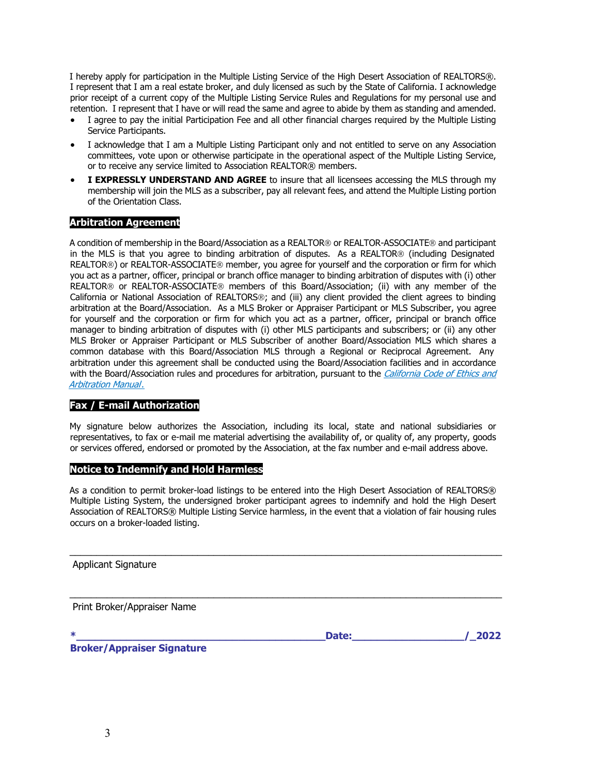I hereby apply for participation in the Multiple Listing Service of the High Desert Association of REALTORS®. I represent that I am a real estate broker, and duly licensed as such by the State of California. I acknowledge prior receipt of a current copy of the Multiple Listing Service Rules and Regulations for my personal use and retention. I represent that I have or will read the same and agree to abide by them as standing and amended.

- I agree to pay the initial Participation Fee and all other financial charges required by the Multiple Listing Service Participants.
- I acknowledge that I am a Multiple Listing Participant only and not entitled to serve on any Association committees, vote upon or otherwise participate in the operational aspect of the Multiple Listing Service, or to receive any service limited to Association REALTOR® members.
- **I EXPRESSLY UNDERSTAND AND AGREE** to insure that all licensees accessing the MLS through my membership will join the MLS as a subscriber, pay all relevant fees, and attend the Multiple Listing portion of the Orientation Class.

#### **Arbitration Agreement**

A condition of membership in the Board/Association as a REALTOR® or REALTOR-ASSOCIATE® and participant in the MLS is that you agree to binding arbitration of disputes. As a REALTOR® (including Designated REALTOR®) or REALTOR-ASSOCIATE® member, you agree for yourself and the corporation or firm for which you act as a partner, officer, principal or branch office manager to binding arbitration of disputes with (i) other REALTOR<sup>®</sup> or REALTOR-ASSOCIATE<sup>®</sup> members of this Board/Association; (ii) with any member of the California or National Association of REALTORS®; and (iii) any client provided the client agrees to binding arbitration at the Board/Association. As a MLS Broker or Appraiser Participant or MLS Subscriber, you agree for yourself and the corporation or firm for which you act as a partner, officer, principal or branch office manager to binding arbitration of disputes with (i) other MLS participants and subscribers; or (ii) any other MLS Broker or Appraiser Participant or MLS Subscriber of another Board/Association MLS which shares a common database with this Board/Association MLS through a Regional or Reciprocal Agreement. Any arbitration under this agreement shall be conducted using the Board/Association facilities and in accordance with the Board/Association rules and procedures for arbitration, pursuant to the California Code of Ethics and Arbitration Manual.

### **Fax / E-mail Authorization**

My signature below authorizes the Association, including its local, state and national subsidiaries or representatives, to fax or e-mail me material advertising the availability of, or quality of, any property, goods or services offered, endorsed or promoted by the Association, at the fax number and e-mail address above.

#### **Notice to Indemnify and Hold Harmless**

As a condition to permit broker-load listings to be entered into the High Desert Association of REALTORS® Multiple Listing System, the undersigned broker participant agrees to indemnify and hold the High Desert Association of REALTORS® Multiple Listing Service harmless, in the event that a violation of fair housing rules occurs on a broker-loaded listing.

 $\_$  . The contribution of the contribution of the contribution of the contribution of the contribution of the contribution of  $\mathcal{L}_\text{max}$ 

 $\_$  , and the set of the set of the set of the set of the set of the set of the set of the set of the set of the set of the set of the set of the set of the set of the set of the set of the set of the set of the set of th

Applicant Signature

Print Broker/Appraiser Name

**Date:**  $/$  2022  $/$ 

**Broker/Appraiser Signature**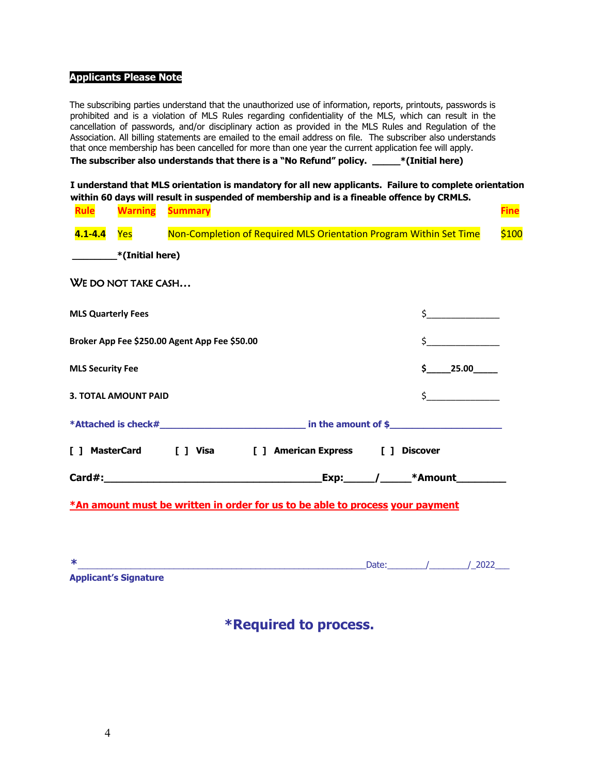#### **Applicants Please Note**

The subscribing parties understand that the unauthorized use of information, reports, printouts, passwords is prohibited and is a violation of MLS Rules regarding confidentiality of the MLS, which can result in the cancellation of passwords, and/or disciplinary action as provided in the MLS Rules and Regulation of the Association. All billing statements are emailed to the email address on file. The subscriber also understands that once membership has been cancelled for more than one year the current application fee will apply.

**The subscriber also understands that there is a "No Refund" policy. \_\_\_\_\_\*(Initial here)**

**I understand that MLS orientation is mandatory for all new applicants. Failure to complete orientation within 60 days will result in suspended of membership and is a fineable offence by CRMLS.** 

| <b>Rule</b>               | <b>Warning</b>                             | <b>Summary</b>                                |                                                                    |                                     |
|---------------------------|--------------------------------------------|-----------------------------------------------|--------------------------------------------------------------------|-------------------------------------|
| $4.1 - 4.4$               | <b>Yes</b>                                 |                                               | Non-Completion of Required MLS Orientation Program Within Set Time |                                     |
|                           | (Initial here) <sup>*</sup> (Initial here) |                                               |                                                                    |                                     |
|                           | WE DO NOT TAKE CASH                        |                                               |                                                                    |                                     |
| <b>MLS Quarterly Fees</b> |                                            |                                               |                                                                    | $\zeta$ and $\zeta$                 |
|                           |                                            | Broker App Fee \$250.00 Agent App Fee \$50.00 |                                                                    | $\zeta$                             |
| <b>MLS Security Fee</b>   |                                            |                                               |                                                                    | $\sin 25.00$                        |
|                           | <b>3. TOTAL AMOUNT PAID</b>                |                                               |                                                                    | $\frac{1}{2}$                       |
|                           |                                            |                                               |                                                                    |                                     |
|                           |                                            |                                               | [ ] MasterCard [ ] Visa [ ] American Express [ ] Discover          |                                     |
|                           |                                            |                                               |                                                                    | <u>Exp: / ____</u> *Amount_________ |

| ماله<br>∽ |                              |  |  |  |
|-----------|------------------------------|--|--|--|
|           | <b>Applicant's Signature</b> |  |  |  |

**\*Required to process.**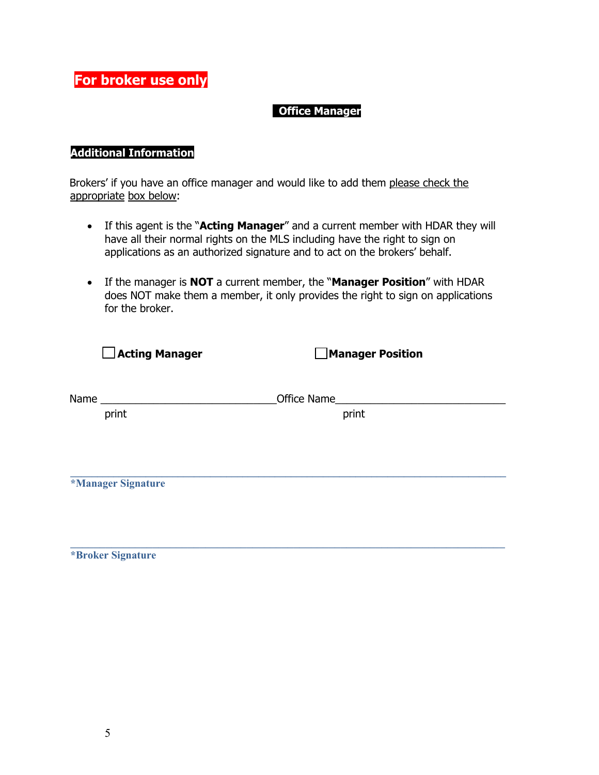**For broker use only**

## **Office Manager**

## **Additional Information**

Brokers' if you have an office manager and would like to add them please check the appropriate box below:

- If this agent is the "**Acting Manager**" and a current member with HDAR they will have all their normal rights on the MLS including have the right to sign on applications as an authorized signature and to act on the brokers' behalf.
- If the manager is **NOT** a current member, the "**Manager Position**" with HDAR does NOT make them a member, it only provides the right to sign on applications for the broker.

| $\Box$ Acting Manager | <b>Manager Position</b> |
|-----------------------|-------------------------|
|                       |                         |
| Name                  | Office Name             |
| print                 | print                   |
|                       |                         |
|                       |                         |
|                       |                         |
| *Manager Signature    |                         |
|                       |                         |
|                       |                         |
|                       |                         |

 $\_$  , and the set of the set of the set of the set of the set of the set of the set of the set of the set of the set of the set of the set of the set of the set of the set of the set of the set of the set of the set of th

**\*Broker Signature**